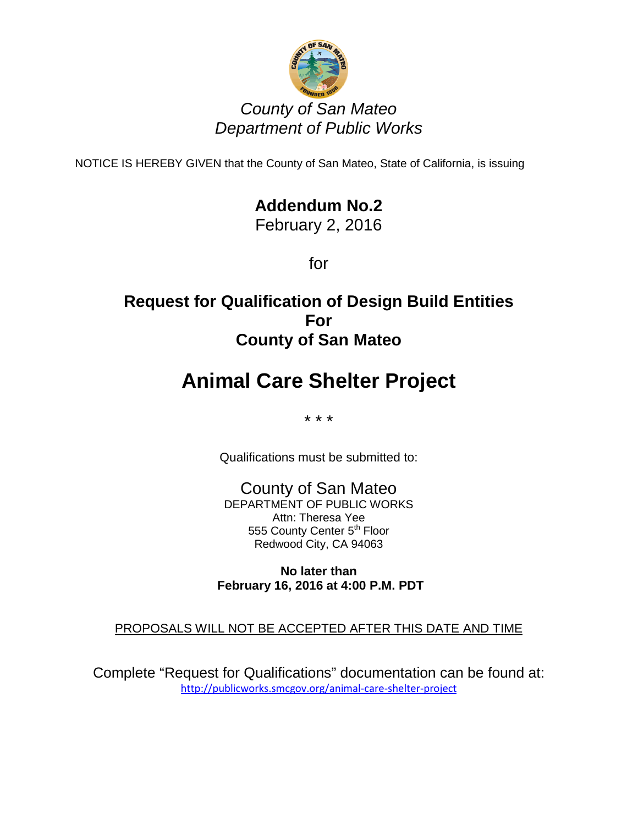

## *County of San Mateo Department of Public Works*

NOTICE IS HEREBY GIVEN that the County of San Mateo, State of California, is issuing

# **Addendum No.2**

February 2, 2016

for

# **Request for Qualification of Design Build Entities For County of San Mateo**

# **Animal Care Shelter Project**

\* \* \*

Qualifications must be submitted to:

County of San Mateo DEPARTMENT OF PUBLIC WORKS Attn: Theresa Yee 555 County Center 5<sup>th</sup> Floor Redwood City, CA 94063

**No later than February 16, 2016 at 4:00 P.M. PDT**

## PROPOSALS WILL NOT BE ACCEPTED AFTER THIS DATE AND TIME

Complete "Request for Qualifications" documentation can be found at: <http://publicworks.smcgov.org/animal-care-shelter-project>